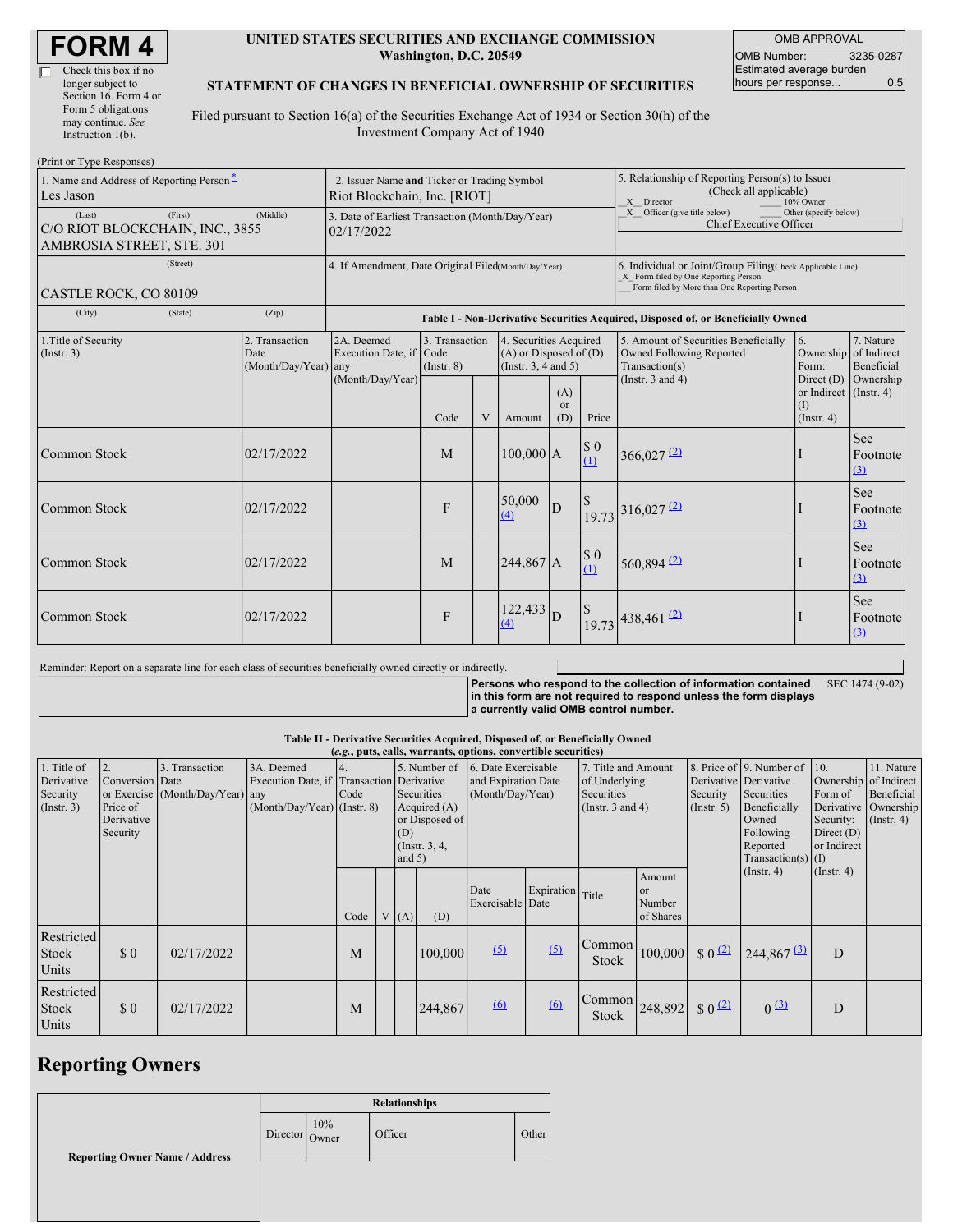| Check this box if no  |
|-----------------------|
| longer subject to     |
| Section 16. Form 4 or |
| Form 5 obligations    |
| may continue. See     |
| Instruction $1(b)$ .  |
|                       |

#### **UNITED STATES SECURITIES AND EXCHANGE COMMISSION Washington, D.C. 20549**

OMB APPROVAL OMB Number: 3235-0287 Estimated average burden hours per response... 0.5

### **STATEMENT OF CHANGES IN BENEFICIAL OWNERSHIP OF SECURITIES**

Filed pursuant to Section 16(a) of the Securities Exchange Act of 1934 or Section 30(h) of the Investment Company Act of 1940

| (Print or Type Responses)                                                         |                                                                             |                                                      |                                   |   |                                                                                  |                         |                                                                                                       |                                                                                                                                                    |                                                                 |                         |
|-----------------------------------------------------------------------------------|-----------------------------------------------------------------------------|------------------------------------------------------|-----------------------------------|---|----------------------------------------------------------------------------------|-------------------------|-------------------------------------------------------------------------------------------------------|----------------------------------------------------------------------------------------------------------------------------------------------------|-----------------------------------------------------------------|-------------------------|
| 1. Name and Address of Reporting Person*<br>Les Jason                             | 2. Issuer Name and Ticker or Trading Symbol<br>Riot Blockchain, Inc. [RIOT] |                                                      |                                   |   |                                                                                  |                         | 5. Relationship of Reporting Person(s) to Issuer<br>(Check all applicable)<br>X Director<br>10% Owner |                                                                                                                                                    |                                                                 |                         |
| (First)<br>(Last)<br>C/O RIOT BLOCKCHAIN, INC., 3855<br>AMBROSIA STREET, STE. 301 | 3. Date of Earliest Transaction (Month/Day/Year)<br>02/17/2022              |                                                      |                                   |   |                                                                                  |                         | X Officer (give title below)<br>Other (specify below)<br><b>Chief Executive Officer</b>               |                                                                                                                                                    |                                                                 |                         |
| (Street)<br>CASTLE ROCK, CO 80109                                                 |                                                                             | 4. If Amendment, Date Original Filed(Month/Day/Year) |                                   |   |                                                                                  |                         |                                                                                                       | 6. Individual or Joint/Group Filing Check Applicable Line)<br>X Form filed by One Reporting Person<br>Form filed by More than One Reporting Person |                                                                 |                         |
| (City)<br>(State)                                                                 | (Zip)                                                                       |                                                      |                                   |   |                                                                                  |                         |                                                                                                       | Table I - Non-Derivative Securities Acquired, Disposed of, or Beneficially Owned                                                                   |                                                                 |                         |
| 1. Title of Security<br>$($ Instr. 3 $)$                                          | 2. Transaction<br>Date<br>(Month/Day/Year) any                              | 2A. Deemed<br>Execution Date, if Code                | 3. Transaction<br>$($ Instr. $8)$ |   | 4. Securities Acquired<br>$(A)$ or Disposed of $(D)$<br>(Instr. $3, 4$ and $5$ ) |                         |                                                                                                       | 5. Amount of Securities Beneficially<br>Owned Following Reported<br>Transaction(s)                                                                 | 6.<br>Ownership of Indirect<br>Form:                            | 7. Nature<br>Beneficial |
|                                                                                   |                                                                             | (Month/Day/Year)                                     | Code                              | V | Amount                                                                           | (A)<br><b>or</b><br>(D) | Price                                                                                                 | (Instr. $3$ and $4$ )                                                                                                                              | Direct (D)<br>or Indirect (Instr. 4)<br>(I)<br>$($ Instr. 4 $)$ | Ownership               |
| <b>Common Stock</b>                                                               | 02/17/2022                                                                  |                                                      | M                                 |   | $100,000$ A                                                                      |                         | $\boldsymbol{\mathsf{S}}$ 0<br>(1)                                                                    | $366,027$ <sup>(2)</sup>                                                                                                                           |                                                                 | See<br>Footnote<br>(3)  |
| Common Stock                                                                      | 02/17/2022                                                                  |                                                      | F                                 |   | 50,000<br>(4)                                                                    | $\mathbf D$             | <sup>\$</sup>                                                                                         | 19.73 316,027 (2)                                                                                                                                  |                                                                 | See<br>Footnote<br>(3)  |
| Common Stock                                                                      | 02/17/2022                                                                  |                                                      | M                                 |   | 244,867 A                                                                        |                         | \$0<br>(1)                                                                                            | $560,894$ <sup>(2)</sup>                                                                                                                           |                                                                 | See<br>Footnote<br>(3)  |
| Common Stock                                                                      | 02/17/2022                                                                  |                                                      | F                                 |   | 122,433<br>$\triangle$                                                           | D                       |                                                                                                       | $19.73$ 438,461 (2)                                                                                                                                |                                                                 | See<br>Footnote<br>(3)  |

Reminder: Report on a separate line for each class of securities beneficially owned directly or indirectly.

**Persons who respond to the collection of information contained in this form are not required to respond unless the form displays a currently valid OMB control number.** SEC 1474 (9-02)

### **Table II - Derivative Securities Acquired, Disposed of, or Beneficially Owned**

| (e.g., puts, calls, warrants, options, convertible securities) |                                                             |                                                    |                                                                                          |      |   |                 |                                                                                    |                                                                |                  |                                                                             |                                                |                                                  |                                                                                                                  |                                                                                             |                                                                      |
|----------------------------------------------------------------|-------------------------------------------------------------|----------------------------------------------------|------------------------------------------------------------------------------------------|------|---|-----------------|------------------------------------------------------------------------------------|----------------------------------------------------------------|------------------|-----------------------------------------------------------------------------|------------------------------------------------|--------------------------------------------------|------------------------------------------------------------------------------------------------------------------|---------------------------------------------------------------------------------------------|----------------------------------------------------------------------|
| 1. Title of<br>Derivative<br>Security<br>$($ Instr. 3 $)$      | 2.<br>Conversion Date<br>Price of<br>Derivative<br>Security | 3. Transaction<br>or Exercise (Month/Day/Year) any | 3A. Deemed<br>Execution Date, if Transaction Derivative<br>$(Month/Day/Year)$ (Instr. 8) | Code |   | (D)<br>and $5)$ | 5. Number of<br>Securities<br>Acquired $(A)$<br>or Disposed of<br>(Instr. $3, 4$ , | 6. Date Exercisable<br>and Expiration Date<br>(Month/Day/Year) |                  | 7. Title and Amount<br>of Underlying<br>Securities<br>(Instr. $3$ and $4$ ) |                                                | Derivative Derivative<br>Security<br>(Insert. 5) | 8. Price of 9. Number of<br>Securities<br>Beneficially<br>Owned<br>Following<br>Reported<br>Transaction(s) $(I)$ | $\vert$ 10.<br>Ownership of Indirect<br>Form of<br>Security:<br>Direct $(D)$<br>or Indirect | 11. Nature<br>Beneficial<br>Derivative Ownership<br>$($ Instr. 4 $)$ |
|                                                                |                                                             |                                                    |                                                                                          | Code | V | (A)             | (D)                                                                                | Date<br>Exercisable Date                                       | Expiration Title |                                                                             | Amount<br><sub>or</sub><br>Number<br>of Shares |                                                  | $($ Instr. 4 $)$                                                                                                 | $($ Instr. 4 $)$                                                                            |                                                                      |
| Restricted<br><b>Stock</b><br>Units                            | \$0                                                         | 02/17/2022                                         |                                                                                          | M    |   |                 | 100,000                                                                            | (5)                                                            | (5)              | Common<br>Stock                                                             | 100,000                                        | $\int$ 0 $\left(2\right)$                        | $244,867$ (3)                                                                                                    | D                                                                                           |                                                                      |
| Restricted<br><b>Stock</b><br><b>Units</b>                     | $\boldsymbol{\mathsf{S}}\,\boldsymbol{\mathsf{0}}$          | 02/17/2022                                         |                                                                                          | M    |   |                 | 244,867                                                                            | $\omega$                                                       | 6                | $\begin{array}{c c} \text{Common} & 248,892 \end{array}$<br>Stock           |                                                | $\sqrt{2}$                                       | $0^{(3)}$                                                                                                        | D                                                                                           |                                                                      |

# **Reporting Owners**

|                                       | <b>Relationships</b> |                     |         |       |  |
|---------------------------------------|----------------------|---------------------|---------|-------|--|
| <b>Reporting Owner Name / Address</b> | Director             | 10%<br><b>Jwner</b> | Officer | Other |  |
|                                       |                      |                     |         |       |  |